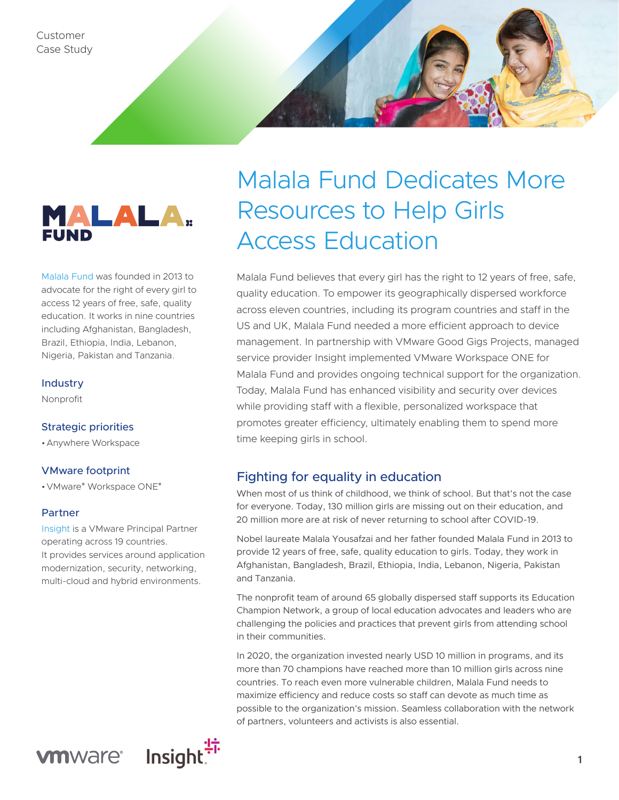Customer Case Study



[Malala Fund](https://malala.org/) was founded in 2013 to advocate for the right of every girl to access 12 years of free, safe, quality education. It works in nine countries including Afghanistan, Bangladesh, Brazil, Ethiopia, India, Lebanon, Nigeria, Pakistan and Tanzania.

### **Industry**

Nonprofit

### Strategic priorities

•Anywhere Workspace

### VMware footprint

•VMware® Workspace ONE®

### Partner

[Insight](https://www.insight.com/en_US/home.html) is a VMware Principal Partner operating across 19 countries. It provides services around application modernization, security, networking, multi-cloud and hybrid environments.

# Malala Fund Dedicates More Resources to Help Girls Access Education

Malala Fund believes that every girl has the right to 12 years of free, safe, quality education. To empower its geographically dispersed workforce across eleven countries, including its program countries and staff in the US and UK, Malala Fund needed a more efficient approach to device management. In partnership with VMware Good Gigs Projects, managed service provider Insight implemented VMware Workspace ONE for Malala Fund and provides ongoing technical support for the organization. Today, Malala Fund has enhanced visibility and security over devices while providing staff with a flexible, personalized workspace that promotes greater efficiency, ultimately enabling them to spend more time keeping girls in school.

## Fighting for equality in education

When most of us think of childhood, we think of school. But that's not the case for everyone. Today, 130 million girls are missing out on their education, and 20 million more are at risk of never returning to school after COVID-19.

Nobel laureate Malala Yousafzai and her father founded Malala Fund in 2013 to provide 12 years of free, safe, quality education to girls. Today, they work in Afghanistan, Bangladesh, Brazil, Ethiopia, India, Lebanon, Nigeria, Pakistan and Tanzania.

The nonprofit team of around 65 globally dispersed staff supports its Education Champion Network, a group of local education advocates and leaders who are challenging the policies and practices that prevent girls from attending school in their communities.

In 2020, the organization invested nearly USD 10 million in programs, and its more than 70 champions have reached more than 10 million girls across nine countries. To reach even more vulnerable children, Malala Fund needs to maximize efficiency and reduce costs so staff can devote as much time as possible to the organization's mission. Seamless collaboration with the network of partners, volunteers and activists is also essential.

# **vm**ware<sup>®</sup>

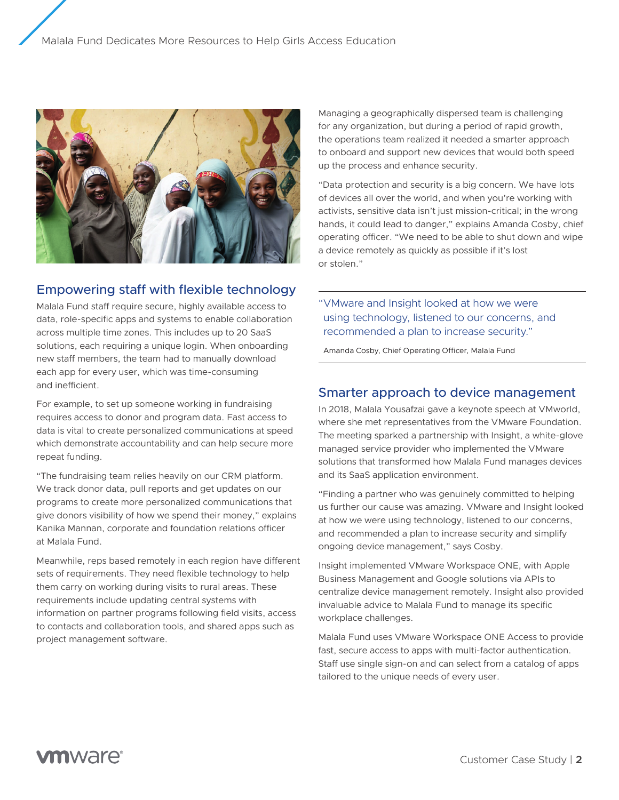

# Empowering staff with flexible technology

Malala Fund staff require secure, highly available access to data, role-specific apps and systems to enable collaboration across multiple time zones. This includes up to 20 SaaS solutions, each requiring a unique login. When onboarding new staff members, the team had to manually download each app for every user, which was time-consuming and inefficient.

For example, to set up someone working in fundraising requires access to donor and program data. Fast access to data is vital to create personalized communications at speed which demonstrate accountability and can help secure more repeat funding.

"The fundraising team relies heavily on our CRM platform. We track donor data, pull reports and get updates on our programs to create more personalized communications that give donors visibility of how we spend their money," explains Kanika Mannan, corporate and foundation relations officer at Malala Fund.

Meanwhile, reps based remotely in each region have different sets of requirements. They need flexible technology to help them carry on working during visits to rural areas. These requirements include updating central systems with information on partner programs following field visits, access to contacts and collaboration tools, and shared apps such as project management software.

Managing a geographically dispersed team is challenging for any organization, but during a period of rapid growth, the operations team realized it needed a smarter approach to onboard and support new devices that would both speed up the process and enhance security.

"Data protection and security is a big concern. We have lots of devices all over the world, and when you're working with activists, sensitive data isn't just mission-critical; in the wrong hands, it could lead to danger," explains Amanda Cosby, chief operating officer. "We need to be able to shut down and wipe a device remotely as quickly as possible if it's lost or stolen."

"VMware and Insight looked at how we were using technology, listened to our concerns, and recommended a plan to increase security."

Amanda Cosby, Chief Operating Officer, Malala Fund

## Smarter approach to device management

In 2018, Malala Yousafzai gave a keynote speech at VMworld, where she met representatives from the VMware Foundation. The meeting sparked a partnership with Insight, a white-glove managed service provider who implemented the VMware solutions that transformed how Malala Fund manages devices and its SaaS application environment.

"Finding a partner who was genuinely committed to helping us further our cause was amazing. VMware and Insight looked at how we were using technology, listened to our concerns, and recommended a plan to increase security and simplify ongoing device management," says Cosby.

Insight implemented VMware Workspace ONE, with Apple Business Management and Google solutions via APIs to centralize device management remotely. Insight also provided invaluable advice to Malala Fund to manage its specific workplace challenges.

Malala Fund uses VMware Workspace ONE Access to provide fast, secure access to apps with multi-factor authentication. Staff use single sign-on and can select from a catalog of apps tailored to the unique needs of every user.